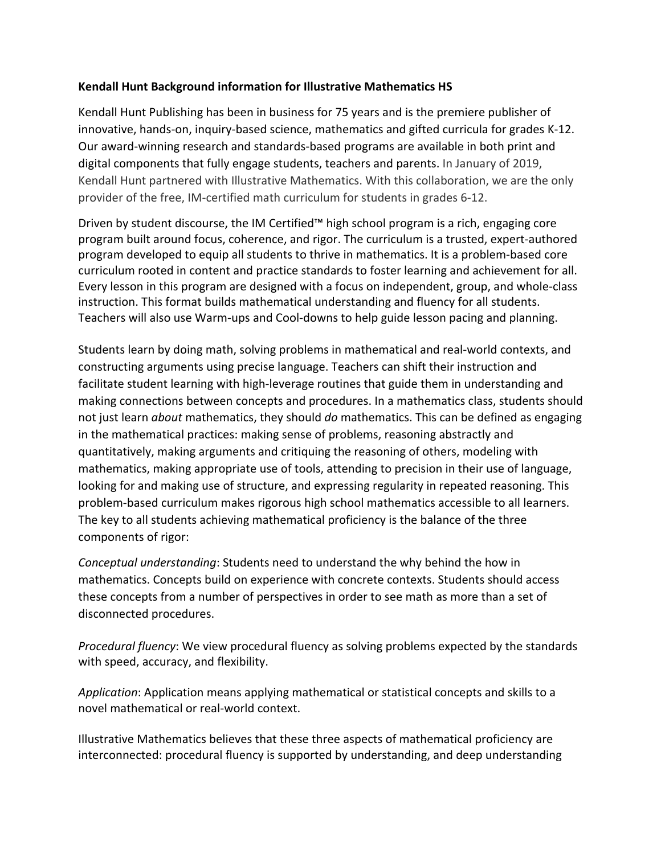# **Kendall Hunt Background information for Illustrative Mathematics HS**

Kendall Hunt Publishing has been in business for 75 years and is the premiere publisher of innovative, hands-on, inquiry-based science, mathematics and gifted curricula for grades K-12. Our award-winning research and standards-based programs are available in both print and digital components that fully engage students, teachers and parents. In January of 2019, Kendall Hunt partnered with Illustrative Mathematics. With this collaboration, we are the only provider of the free, IM-certified math curriculum for students in grades 6-12.

Driven by student discourse, the IM Certified™ high school program is a rich, engaging core program built around focus, coherence, and rigor. The curriculum is a trusted, expert-authored program developed to equip all students to thrive in mathematics. It is a problem-based core curriculum rooted in content and practice standards to foster learning and achievement for all. Every lesson in this program are designed with a focus on independent, group, and whole-class instruction. This format builds mathematical understanding and fluency for all students. Teachers will also use Warm-ups and Cool-downs to help guide lesson pacing and planning.

Students learn by doing math, solving problems in mathematical and real-world contexts, and constructing arguments using precise language. Teachers can shift their instruction and facilitate student learning with high-leverage routines that guide them in understanding and making connections between concepts and procedures. In a mathematics class, students should not just learn *about* mathematics, they should *do* mathematics. This can be defined as engaging in the mathematical practices: making sense of problems, reasoning abstractly and quantitatively, making arguments and critiquing the reasoning of others, modeling with mathematics, making appropriate use of tools, attending to precision in their use of language, looking for and making use of structure, and expressing regularity in repeated reasoning. This problem-based curriculum makes rigorous high school mathematics accessible to all learners. The key to all students achieving mathematical proficiency is the balance of the three components of rigor:

*Conceptual understanding*: Students need to understand the why behind the how in mathematics. Concepts build on experience with concrete contexts. Students should access these concepts from a number of perspectives in order to see math as more than a set of disconnected procedures.

*Procedural fluency*: We view procedural fluency as solving problems expected by the standards with speed, accuracy, and flexibility.

*Application*: Application means applying mathematical or statistical concepts and skills to a novel mathematical or real-world context.

Illustrative Mathematics believes that these three aspects of mathematical proficiency are interconnected: procedural fluency is supported by understanding, and deep understanding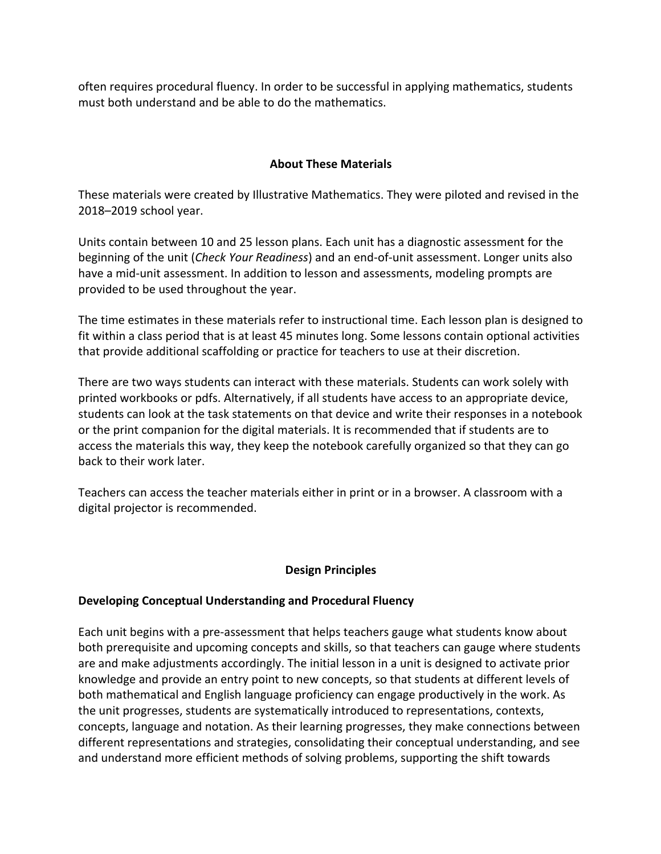often requires procedural fluency. In order to be successful in applying mathematics, students must both understand and be able to do the mathematics.

### **About These Materials**

These materials were created by Illustrative Mathematics. They were piloted and revised in the 2018–2019 school year.

Units contain between 10 and 25 lesson plans. Each unit has a diagnostic assessment for the beginning of the unit (*Check Your Readiness*) and an end-of-unit assessment. Longer units also have a mid-unit assessment. In addition to lesson and assessments, modeling prompts are provided to be used throughout the year.

The time estimates in these materials refer to instructional time. Each lesson plan is designed to fit within a class period that is at least 45 minutes long. Some lessons contain optional activities that provide additional scaffolding or practice for teachers to use at their discretion.

There are two ways students can interact with these materials. Students can work solely with printed workbooks or pdfs. Alternatively, if all students have access to an appropriate device, students can look at the task statements on that device and write their responses in a notebook or the print companion for the digital materials. It is recommended that if students are to access the materials this way, they keep the notebook carefully organized so that they can go back to their work later.

Teachers can access the teacher materials either in print or in a browser. A classroom with a digital projector is recommended.

### **Design Principles**

### **Developing Conceptual Understanding and Procedural Fluency**

Each unit begins with a pre-assessment that helps teachers gauge what students know about both prerequisite and upcoming concepts and skills, so that teachers can gauge where students are and make adjustments accordingly. The initial lesson in a unit is designed to activate prior knowledge and provide an entry point to new concepts, so that students at different levels of both mathematical and English language proficiency can engage productively in the work. As the unit progresses, students are systematically introduced to representations, contexts, concepts, language and notation. As their learning progresses, they make connections between different representations and strategies, consolidating their conceptual understanding, and see and understand more efficient methods of solving problems, supporting the shift towards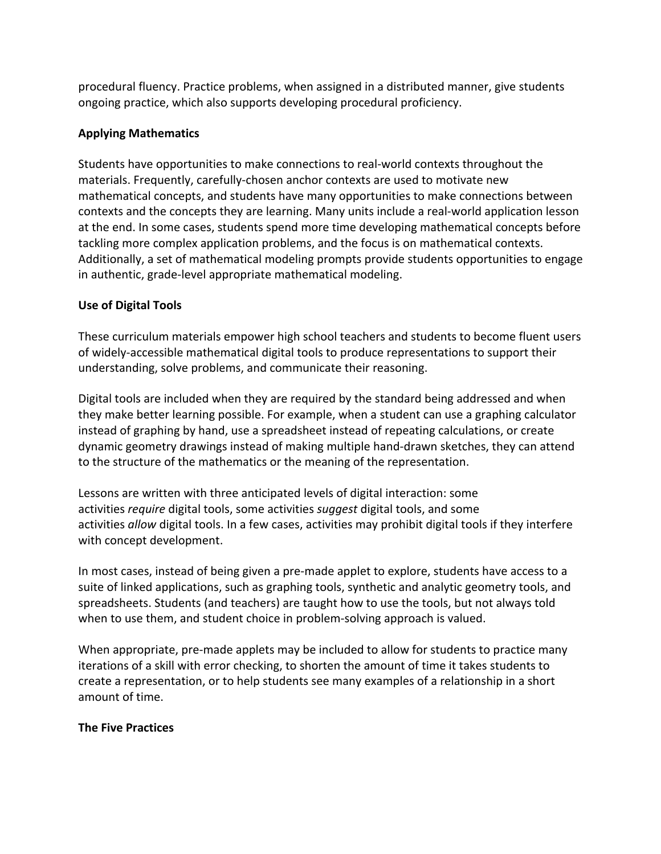procedural fluency. Practice problems, when assigned in a distributed manner, give students ongoing practice, which also supports developing procedural proficiency.

# **Applying Mathematics**

Students have opportunities to make connections to real-world contexts throughout the materials. Frequently, carefully-chosen anchor contexts are used to motivate new mathematical concepts, and students have many opportunities to make connections between contexts and the concepts they are learning. Many units include a real-world application lesson at the end. In some cases, students spend more time developing mathematical concepts before tackling more complex application problems, and the focus is on mathematical contexts. Additionally, a set of mathematical modeling prompts provide students opportunities to engage in authentic, grade-level appropriate mathematical modeling.

## **Use of Digital Tools**

These curriculum materials empower high school teachers and students to become fluent users of widely-accessible mathematical digital tools to produce representations to support their understanding, solve problems, and communicate their reasoning.

Digital tools are included when they are required by the standard being addressed and when they make better learning possible. For example, when a student can use a graphing calculator instead of graphing by hand, use a spreadsheet instead of repeating calculations, or create dynamic geometry drawings instead of making multiple hand-drawn sketches, they can attend to the structure of the mathematics or the meaning of the representation.

Lessons are written with three anticipated levels of digital interaction: some activities *require* digital tools, some activities *suggest* digital tools, and some activities *allow* digital tools. In a few cases, activities may prohibit digital tools if they interfere with concept development.

In most cases, instead of being given a pre-made applet to explore, students have access to a suite of linked applications, such as graphing tools, synthetic and analytic geometry tools, and spreadsheets. Students (and teachers) are taught how to use the tools, but not always told when to use them, and student choice in problem-solving approach is valued.

When appropriate, pre-made applets may be included to allow for students to practice many iterations of a skill with error checking, to shorten the amount of time it takes students to create a representation, or to help students see many examples of a relationship in a short amount of time.

### **The Five Practices**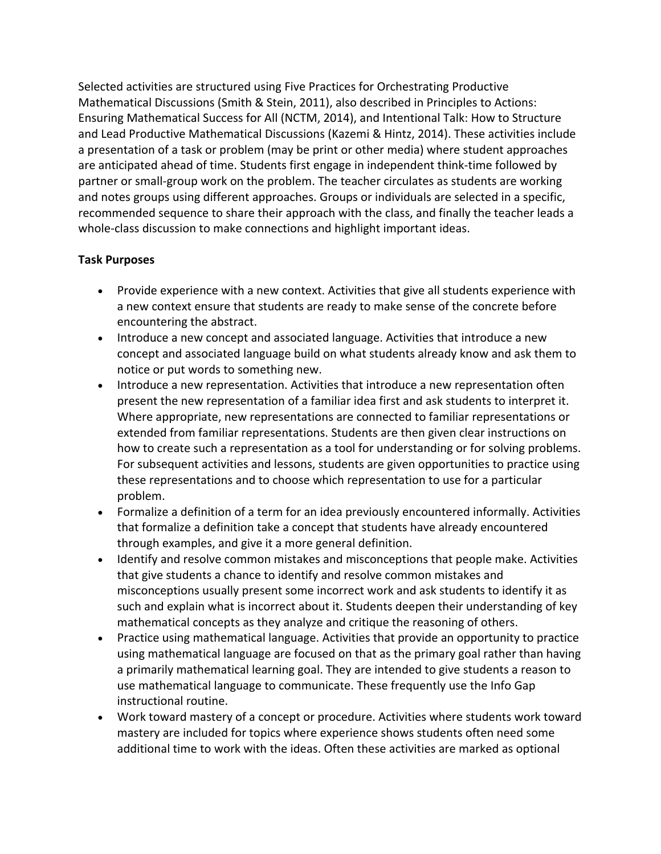Selected activities are structured using Five Practices for Orchestrating Productive Mathematical Discussions (Smith & Stein, 2011), also described in Principles to Actions: Ensuring Mathematical Success for All (NCTM, 2014), and Intentional Talk: How to Structure and Lead Productive Mathematical Discussions (Kazemi & Hintz, 2014). These activities include a presentation of a task or problem (may be print or other media) where student approaches are anticipated ahead of time. Students first engage in independent think-time followed by partner or small-group work on the problem. The teacher circulates as students are working and notes groups using different approaches. Groups or individuals are selected in a specific, recommended sequence to share their approach with the class, and finally the teacher leads a whole-class discussion to make connections and highlight important ideas.

## **Task Purposes**

- Provide experience with a new context. Activities that give all students experience with a new context ensure that students are ready to make sense of the concrete before encountering the abstract.
- Introduce a new concept and associated language. Activities that introduce a new concept and associated language build on what students already know and ask them to notice or put words to something new.
- Introduce a new representation. Activities that introduce a new representation often present the new representation of a familiar idea first and ask students to interpret it. Where appropriate, new representations are connected to familiar representations or extended from familiar representations. Students are then given clear instructions on how to create such a representation as a tool for understanding or for solving problems. For subsequent activities and lessons, students are given opportunities to practice using these representations and to choose which representation to use for a particular problem.
- Formalize a definition of a term for an idea previously encountered informally. Activities that formalize a definition take a concept that students have already encountered through examples, and give it a more general definition.
- Identify and resolve common mistakes and misconceptions that people make. Activities that give students a chance to identify and resolve common mistakes and misconceptions usually present some incorrect work and ask students to identify it as such and explain what is incorrect about it. Students deepen their understanding of key mathematical concepts as they analyze and critique the reasoning of others.
- Practice using mathematical language. Activities that provide an opportunity to practice using mathematical language are focused on that as the primary goal rather than having a primarily mathematical learning goal. They are intended to give students a reason to use mathematical language to communicate. These frequently use the Info Gap instructional routine.
- Work toward mastery of a concept or procedure. Activities where students work toward mastery are included for topics where experience shows students often need some additional time to work with the ideas. Often these activities are marked as optional